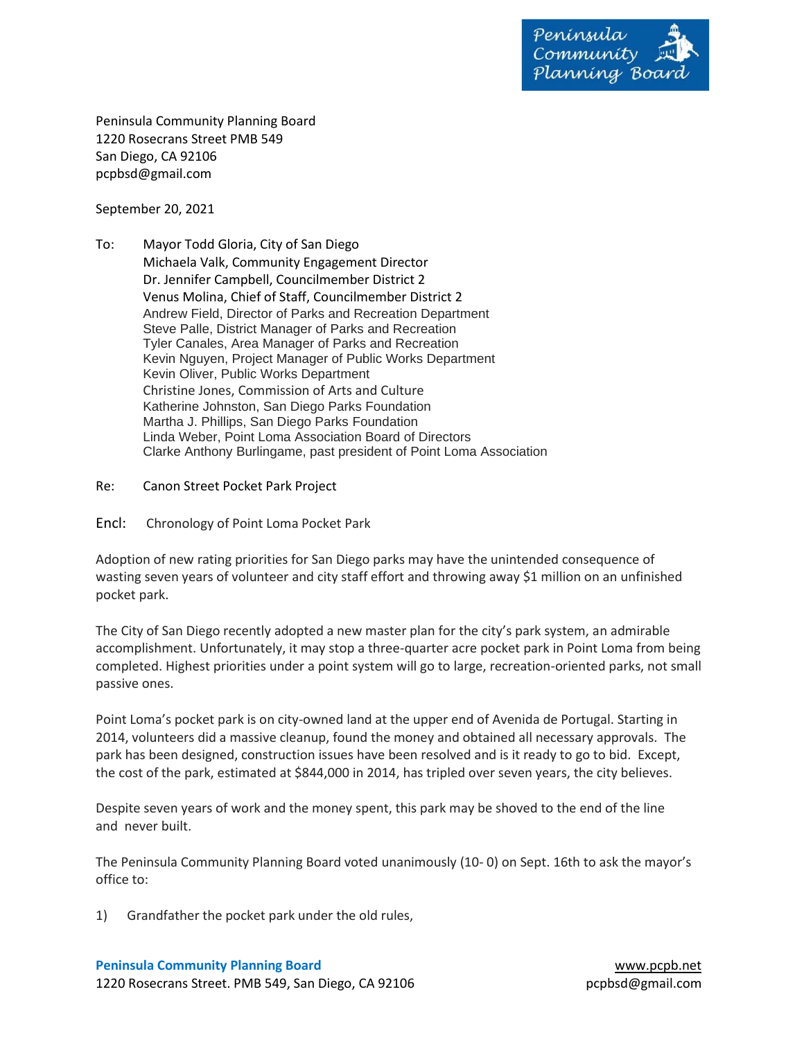

Peninsula Community Planning Board 1220 Rosecrans Street PMB 549 San Diego, CA 92106 pcpbsd@gmail.com

September 20, 2021

- To: Mayor Todd Gloria, City of San Diego Michaela Valk, Community Engagement Director Dr. Jennifer Campbell, Councilmember District 2 Venus Molina, Chief of Staff, Councilmember District 2 Andrew Field, Director of Parks and Recreation Department Steve Palle, District Manager of Parks and Recreation Tyler Canales, Area Manager of Parks and Recreation Kevin Nguyen, Project Manager of Public Works Department Kevin Oliver, Public Works Department Christine Jones, Commission of Arts and Culture Katherine Johnston, San Diego Parks Foundation Martha J. Phillips, San Diego Parks Foundation Linda Weber, Point Loma Association Board of Directors Clarke Anthony Burlingame, past president of Point Loma Association
- Re: Canon Street Pocket Park Project
- Encl: Chronology of Point Loma Pocket Park

Adoption of new rating priorities for San Diego parks may have the unintended consequence of wasting seven years of volunteer and city staff effort and throwing away \$1 million on an unfinished pocket park.

The City of San Diego recently adopted a new master plan for the city's park system, an admirable accomplishment. Unfortunately, it may stop a three-quarter acre pocket park in Point Loma from being completed. Highest priorities under a point system will go to large, recreation-oriented parks, not small passive ones.

Point Loma's pocket park is on city-owned land at the upper end of Avenida de Portugal. Starting in 2014, volunteers did a massive cleanup, found the money and obtained all necessary approvals. The park has been designed, construction issues have been resolved and is it ready to go to bid. Except, the cost of the park, estimated at \$844,000 in 2014, has tripled over seven years, the city believes.

Despite seven years of work and the money spent, this park may be shoved to the end of the line and never built.

The Peninsula Community Planning Board voted unanimously (10- 0) on Sept. 16th to ask the mayor's office to:

1) Grandfather the pocket park under the old rules,